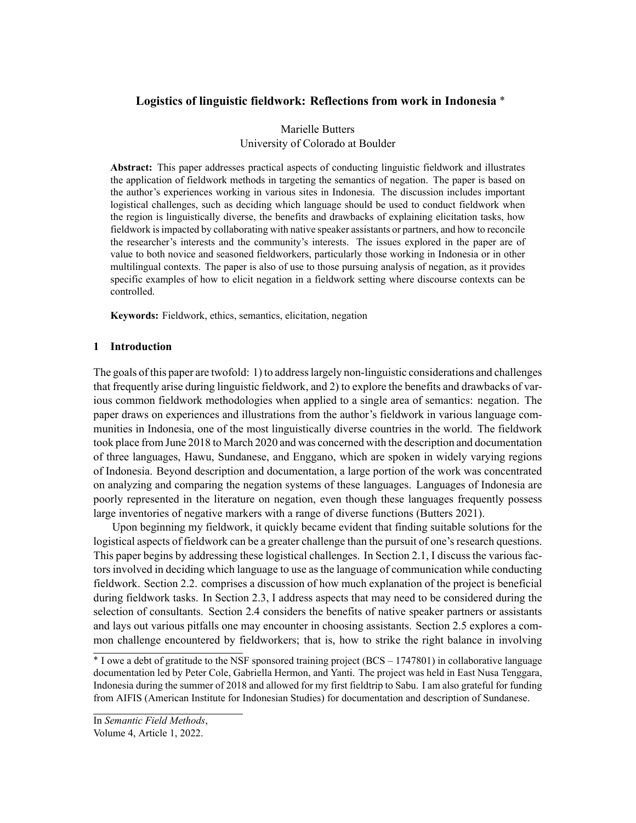# **Logistics of linguistic fieldwork: Reflections from work in Indonesia** \*

# Marielle Butters University of Colorado at Boulder

**Abstract:** This paper addresses practical aspects of conducting linguistic fieldwork and illustrates the application of fieldwork methods in targeting the semantics of negation. The paper is based on the author's experiences working in various sites in Indonesia. The discussion includes important logistical challenges, such as deciding which language should be used to conduct fieldwork when the region is linguistically diverse, the benefits and drawbacks of explaining elicitation tasks, how fieldwork is impacted by collaborating with native speaker assistants or partners, and how to reconcile the researcher's interests and the community's interests. The issues explored in the paper are of value to both novice and seasoned fieldworkers, particularly those working in Indonesia or in other multilingual contexts. The paper is also of use to those pursuing analysis of negation, as it provides specific examples of how to elicit negation in a fieldwork setting where discourse contexts can be controlled.

**Keywords:** Fieldwork, ethics, semantics, elicitation, negation

# **1 Introduction**

The goals of this paper are twofold: 1) to address largely non-linguistic considerations and challenges that frequently arise during linguistic fieldwork, and 2) to explore the benefits and drawbacks of various common fieldwork methodologies when applied to a single area of semantics: negation. The paper draws on experiences and illustrations from the author's fieldwork in various language communities in Indonesia, one of the most linguistically diverse countries in the world. The fieldwork took place from June 2018 to March 2020 and was concerned with the description and documentation of three languages, Hawu, Sundanese, and Enggano, which are spoken in widely varying regions of Indonesia. Beyond description and documentation, a large portion of the work was concentrated on analyzing and comparing the negation systems of these languages. Languages of Indonesia are poorly represented in the literature on negation, even though these languages frequently possess large inventories of negative markers with a range of diverse functions (Butters 2021).

Upon beginning my fieldwork, it quickly became evident that finding suitable solutions for the logistical aspects of fieldwork can be a greater challenge than the pursuit of one's research questions. This paper begins by addressing these logistical challenges. In Section 2.1, I discuss the various factors involved in deciding which language to use as the language of communication while conducting fieldwork. Section 2.2. comprises a discussion of how much explanation of the project is beneficial during fieldwork tasks. In Section 2.3, I address aspects that may need to be considered during the selection of consultants. Section 2.4 considers the benefits of native speaker partners or assistants and lays out various pitfalls one may encounter in choosing assistants. Section 2.5 explores a common challenge encountered by fieldworkers; that is, how to strike the right balance in involving

\* I owe a debt of gratitude to the NSF sponsored training project (BCS – 1747801) in collaborative language documentation led by Peter Cole, Gabriella Hermon, and Yanti. The project was held in East Nusa Tenggara, Indonesia during the summer of 2018 and allowed for my first fieldtrip to Sabu. I am also grateful for funding from AIFIS (American Institute for Indonesian Studies) for documentation and description of Sundanese.

In *Semantic Field Methods*,

Volume 4, Article 1, 2022.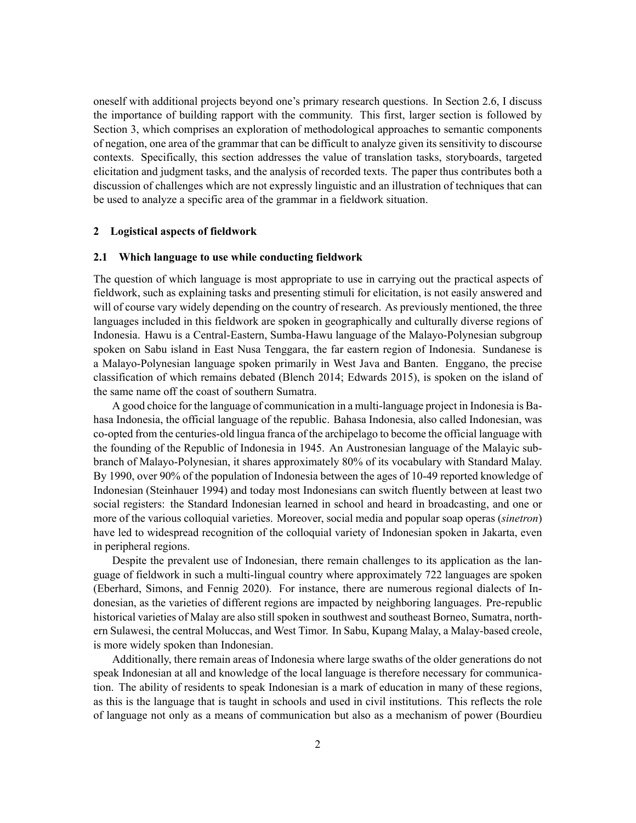oneself with additional projects beyond one's primary research questions. In Section 2.6, I discuss the importance of building rapport with the community. This first, larger section is followed by Section 3, which comprises an exploration of methodological approaches to semantic components of negation, one area of the grammar that can be difficult to analyze given its sensitivity to discourse contexts. Specifically, this section addresses the value of translation tasks, storyboards, targeted elicitation and judgment tasks, and the analysis of recorded texts. The paper thus contributes both a discussion of challenges which are not expressly linguistic and an illustration of techniques that can be used to analyze a specific area of the grammar in a fieldwork situation.

## **2 Logistical aspects of fieldwork**

## **2.1 Which language to use while conducting fieldwork**

The question of which language is most appropriate to use in carrying out the practical aspects of fieldwork, such as explaining tasks and presenting stimuli for elicitation, is not easily answered and will of course vary widely depending on the country of research. As previously mentioned, the three languages included in this fieldwork are spoken in geographically and culturally diverse regions of Indonesia. Hawu is a Central-Eastern, Sumba-Hawu language of the Malayo-Polynesian subgroup spoken on Sabu island in East Nusa Tenggara, the far eastern region of Indonesia. Sundanese is a Malayo-Polynesian language spoken primarily in West Java and Banten. Enggano, the precise classification of which remains debated (Blench 2014; Edwards 2015), is spoken on the island of the same name off the coast of southern Sumatra.

A good choice for the language of communication in a multi-language project in Indonesia is Bahasa Indonesia, the official language of the republic. Bahasa Indonesia, also called Indonesian, was co-opted from the centuries-old lingua franca of the archipelago to become the official language with the founding of the Republic of Indonesia in 1945. An Austronesian language of the Malayic subbranch of Malayo-Polynesian, it shares approximately 80% of its vocabulary with Standard Malay. By 1990, over 90% of the population of Indonesia between the ages of 10-49 reported knowledge of Indonesian (Steinhauer 1994) and today most Indonesians can switch fluently between at least two social registers: the Standard Indonesian learned in school and heard in broadcasting, and one or more of the various colloquial varieties. Moreover, social media and popular soap operas (*sinetron*) have led to widespread recognition of the colloquial variety of Indonesian spoken in Jakarta, even in peripheral regions.

Despite the prevalent use of Indonesian, there remain challenges to its application as the language of fieldwork in such a multi-lingual country where approximately 722 languages are spoken (Eberhard, Simons, and Fennig 2020). For instance, there are numerous regional dialects of Indonesian, as the varieties of different regions are impacted by neighboring languages. Pre-republic historical varieties of Malay are also still spoken in southwest and southeast Borneo, Sumatra, northern Sulawesi, the central Moluccas, and West Timor. In Sabu, Kupang Malay, a Malay-based creole, is more widely spoken than Indonesian.

Additionally, there remain areas of Indonesia where large swaths of the older generations do not speak Indonesian at all and knowledge of the local language is therefore necessary for communication. The ability of residents to speak Indonesian is a mark of education in many of these regions, as this is the language that is taught in schools and used in civil institutions. This reflects the role of language not only as a means of communication but also as a mechanism of power (Bourdieu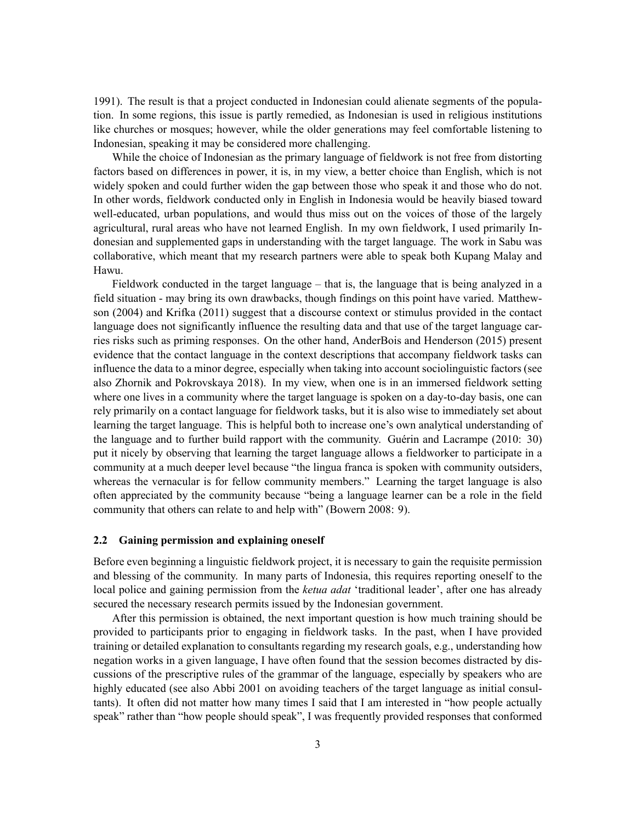1991). The result is that a project conducted in Indonesian could alienate segments of the population. In some regions, this issue is partly remedied, as Indonesian is used in religious institutions like churches or mosques; however, while the older generations may feel comfortable listening to Indonesian, speaking it may be considered more challenging.

While the choice of Indonesian as the primary language of fieldwork is not free from distorting factors based on differences in power, it is, in my view, a better choice than English, which is not widely spoken and could further widen the gap between those who speak it and those who do not. In other words, fieldwork conducted only in English in Indonesia would be heavily biased toward well-educated, urban populations, and would thus miss out on the voices of those of the largely agricultural, rural areas who have not learned English. In my own fieldwork, I used primarily Indonesian and supplemented gaps in understanding with the target language. The work in Sabu was collaborative, which meant that my research partners were able to speak both Kupang Malay and Hawu.

Fieldwork conducted in the target language – that is, the language that is being analyzed in a field situation - may bring its own drawbacks, though findings on this point have varied. Matthewson (2004) and Krifka (2011) suggest that a discourse context or stimulus provided in the contact language does not significantly influence the resulting data and that use of the target language carries risks such as priming responses. On the other hand, AnderBois and Henderson (2015) present evidence that the contact language in the context descriptions that accompany fieldwork tasks can influence the data to a minor degree, especially when taking into account sociolinguistic factors (see also Zhornik and Pokrovskaya 2018). In my view, when one is in an immersed fieldwork setting where one lives in a community where the target language is spoken on a day-to-day basis, one can rely primarily on a contact language for fieldwork tasks, but it is also wise to immediately set about learning the target language. This is helpful both to increase one's own analytical understanding of the language and to further build rapport with the community. Guérin and Lacrampe (2010: 30) put it nicely by observing that learning the target language allows a fieldworker to participate in a community at a much deeper level because "the lingua franca is spoken with community outsiders, whereas the vernacular is for fellow community members." Learning the target language is also often appreciated by the community because "being a language learner can be a role in the field community that others can relate to and help with" (Bowern 2008: 9).

# **2.2 Gaining permission and explaining oneself**

Before even beginning a linguistic fieldwork project, it is necessary to gain the requisite permission and blessing of the community. In many parts of Indonesia, this requires reporting oneself to the local police and gaining permission from the *ketua adat* 'traditional leader', after one has already secured the necessary research permits issued by the Indonesian government.

After this permission is obtained, the next important question is how much training should be provided to participants prior to engaging in fieldwork tasks. In the past, when I have provided training or detailed explanation to consultants regarding my research goals, e.g., understanding how negation works in a given language, I have often found that the session becomes distracted by discussions of the prescriptive rules of the grammar of the language, especially by speakers who are highly educated (see also Abbi 2001 on avoiding teachers of the target language as initial consultants). It often did not matter how many times I said that I am interested in "how people actually speak" rather than "how people should speak", I was frequently provided responses that conformed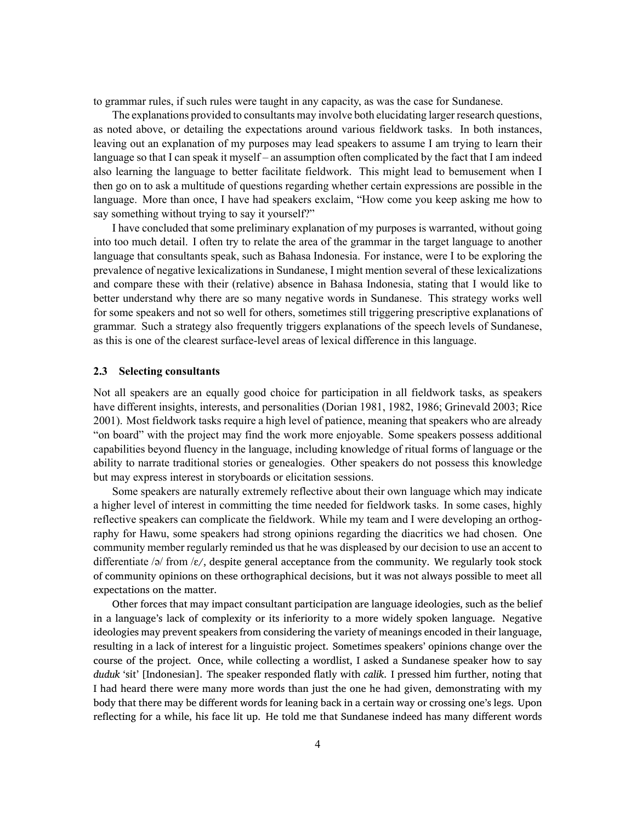to grammar rules, if such rules were taught in any capacity, as was the case for Sundanese.

The explanations provided to consultants may involve both elucidating larger research questions, as noted above, or detailing the expectations around various fieldwork tasks. In both instances, leaving out an explanation of my purposes may lead speakers to assume I am trying to learn their language so that I can speak it myself – an assumption often complicated by the fact that I am indeed also learning the language to better facilitate fieldwork. This might lead to bemusement when I then go on to ask a multitude of questions regarding whether certain expressions are possible in the language. More than once, I have had speakers exclaim, "How come you keep asking me how to say something without trying to say it yourself?"

I have concluded that some preliminary explanation of my purposes is warranted, without going into too much detail. I often try to relate the area of the grammar in the target language to another language that consultants speak, such as Bahasa Indonesia. For instance, were I to be exploring the prevalence of negative lexicalizations in Sundanese, I might mention several of these lexicalizations and compare these with their (relative) absence in Bahasa Indonesia, stating that I would like to better understand why there are so many negative words in Sundanese. This strategy works well for some speakers and not so well for others, sometimes still triggering prescriptive explanations of grammar. Such a strategy also frequently triggers explanations of the speech levels of Sundanese, as this is one of the clearest surface-level areas of lexical difference in this language.

## <span id="page-3-0"></span>**2.3 Selecting consultants**

Not all speakers are an equally good choice for participation in all fieldwork tasks, as speakers have different insights, interests, and personalities (Dorian 1981, 1982, 1986; Grinevald 2003; Rice 2001). Most fieldwork tasks require a high level of patience, meaning that speakers who are already "on board" with the project may find the work more enjoyable. Some speakers possess additional capabilities beyond fluency in the language, including knowledge of ritual forms of language or the ability to narrate traditional stories or genealogies. Other speakers do not possess this knowledge but may express interest in storyboards or elicitation sessions.

Some speakers are naturally extremely reflective about their own language which may indicate a higher level of interest in committing the time needed for fieldwork tasks. In some cases, highly reflective speakers can complicate the fieldwork. While my team and I were developing an orthography for Hawu, some speakers had strong opinions regarding the diacritics we had chosen. One community member regularly reminded us that he was displeased by our decision to use an accent to differentiate /ə/ from /ɛ/, despite general acceptance from the community. We regularly took stock of community opinions on these orthographical decisions, but it was not always possible to meet all expectations on the matter.

Other forces that may impact consultant participation are language ideologies, such as the belief in a language's lack of complexity or its inferiority to a more widely spoken language. Negative ideologies may prevent speakers from considering the variety of meanings encoded in their language, resulting in a lack of interest for a linguistic project. Sometimes speakers' opinions change over the course of the project. Once, while collecting a wordlist, I asked a Sundanese speaker how to say *duduk* 'sit' [Indonesian]. The speaker responded flatly with *calik*. I pressed him further, noting that I had heard there were many more words than just the one he had given, demonstrating with my body that there may be different words for leaning back in a certain way or crossing one's legs. Upon reflecting for a while, his face lit up. He told me that Sundanese indeed has many different words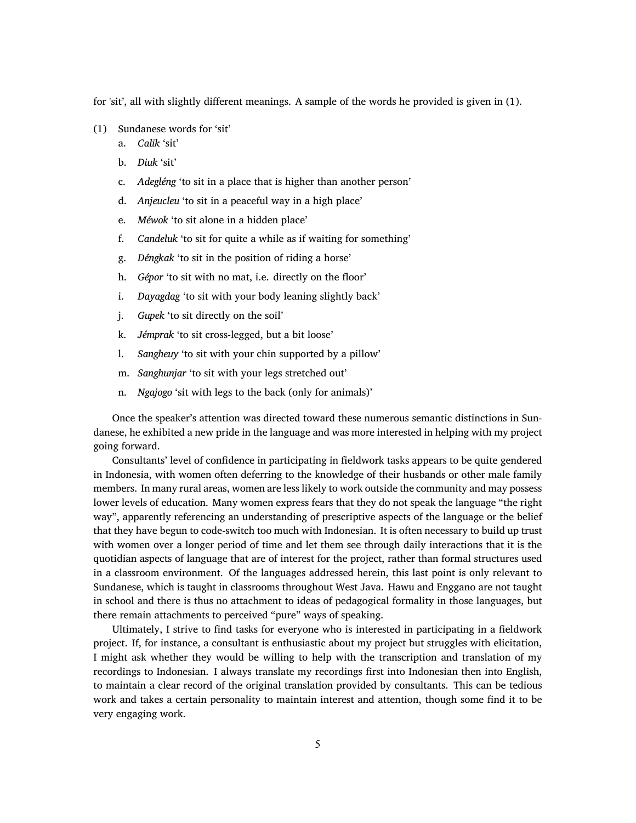for 'sit', all with slightly different meanings. A sample of the words he provided is given in([1](#page-3-0)).

- (1) Sundanese words for 'sit'
	- a. *Calik* 'sit'
	- b. *Diuk* 'sit'
	- c. *Adegléng* 'to sit in a place that is higher than another person'
	- d. *Anjeucleu* 'to sit in a peaceful way in a high place'
	- e. *Méwok* 'to sit alone in a hidden place'
	- f. *Candeluk* 'to sit for quite a while as if waiting for something'
	- g. *Déngkak* 'to sit in the position of riding a horse'
	- h. *Gépor* 'to sit with no mat, i.e. directly on the floor'
	- i. *Dayagdag* 'to sit with your body leaning slightly back'
	- j. *Gupek* 'to sit directly on the soil'
	- k. *Jémprak* 'to sit cross-legged, but a bit loose'
	- l. *Sangheuy* 'to sit with your chin supported by a pillow'
	- m. *Sanghunjar* 'to sit with your legs stretched out'
	- n. *Ngajogo* 'sit with legs to the back (only for animals)'

Once the speaker's attention was directed toward these numerous semantic distinctions in Sundanese, he exhibited a new pride in the language and was more interested in helping with my project going forward.

Consultants' level of confidence in participating in fieldwork tasks appears to be quite gendered in Indonesia, with women often deferring to the knowledge of their husbands or other male family members. In many rural areas, women are less likely to work outside the community and may possess lower levels of education. Many women express fears that they do not speak the language "the right way", apparently referencing an understanding of prescriptive aspects of the language or the belief that they have begun to code-switch too much with Indonesian. It is often necessary to build up trust with women over a longer period of time and let them see through daily interactions that it is the quotidian aspects of language that are of interest for the project, rather than formal structures used in a classroom environment. Of the languages addressed herein, this last point is only relevant to Sundanese, which is taught in classrooms throughout West Java. Hawu and Enggano are not taught in school and there is thus no attachment to ideas of pedagogical formality in those languages, but there remain attachments to perceived "pure" ways of speaking.

Ultimately, I strive to find tasks for everyone who is interested in participating in a fieldwork project. If, for instance, a consultant is enthusiastic about my project but struggles with elicitation, I might ask whether they would be willing to help with the transcription and translation of my recordings to Indonesian. I always translate my recordings first into Indonesian then into English, to maintain a clear record of the original translation provided by consultants. This can be tedious work and takes a certain personality to maintain interest and attention, though some find it to be very engaging work.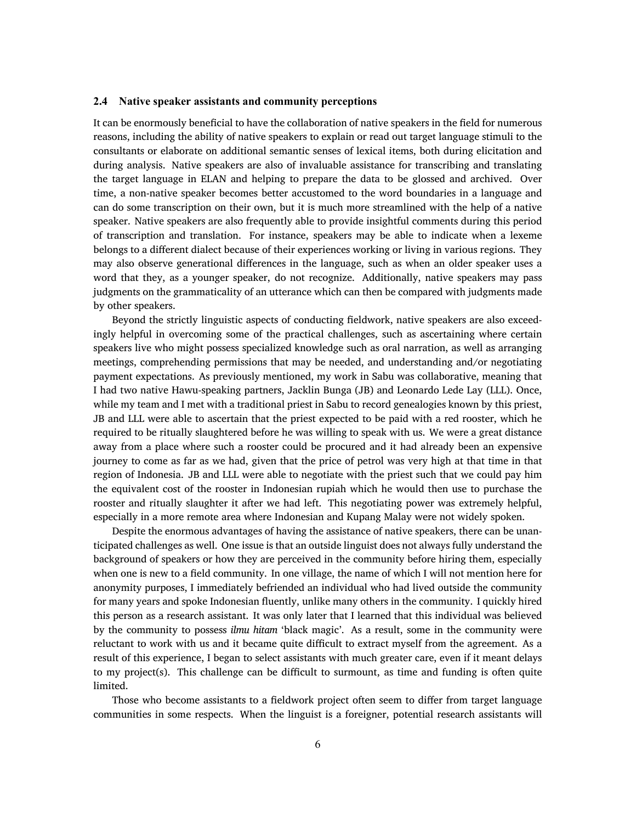## **2.4 Native speaker assistants and community perceptions**

It can be enormously beneficial to have the collaboration of native speakers in the field for numerous reasons, including the ability of native speakers to explain or read out target language stimuli to the consultants or elaborate on additional semantic senses of lexical items, both during elicitation and during analysis. Native speakers are also of invaluable assistance for transcribing and translating the target language in ELAN and helping to prepare the data to be glossed and archived. Over time, a non-native speaker becomes better accustomed to the word boundaries in a language and can do some transcription on their own, but it is much more streamlined with the help of a native speaker. Native speakers are also frequently able to provide insightful comments during this period of transcription and translation. For instance, speakers may be able to indicate when a lexeme belongs to a different dialect because of their experiences working or living in various regions. They may also observe generational differences in the language, such as when an older speaker uses a word that they, as a younger speaker, do not recognize. Additionally, native speakers may pass judgments on the grammaticality of an utterance which can then be compared with judgments made by other speakers.

Beyond the strictly linguistic aspects of conducting fieldwork, native speakers are also exceedingly helpful in overcoming some of the practical challenges, such as ascertaining where certain speakers live who might possess specialized knowledge such as oral narration, as well as arranging meetings, comprehending permissions that may be needed, and understanding and/or negotiating payment expectations. As previously mentioned, my work in Sabu was collaborative, meaning that I had two native Hawu-speaking partners, Jacklin Bunga (JB) and Leonardo Lede Lay (LLL). Once, while my team and I met with a traditional priest in Sabu to record genealogies known by this priest, JB and LLL were able to ascertain that the priest expected to be paid with a red rooster, which he required to be ritually slaughtered before he was willing to speak with us. We were a great distance away from a place where such a rooster could be procured and it had already been an expensive journey to come as far as we had, given that the price of petrol was very high at that time in that region of Indonesia. JB and LLL were able to negotiate with the priest such that we could pay him the equivalent cost of the rooster in Indonesian rupiah which he would then use to purchase the rooster and ritually slaughter it after we had left. This negotiating power was extremely helpful, especially in a more remote area where Indonesian and Kupang Malay were not widely spoken.

Despite the enormous advantages of having the assistance of native speakers, there can be unanticipated challenges as well. One issue is that an outside linguist does not always fully understand the background of speakers or how they are perceived in the community before hiring them, especially when one is new to a field community. In one village, the name of which I will not mention here for anonymity purposes, I immediately befriended an individual who had lived outside the community for many years and spoke Indonesian fluently, unlike many others in the community. I quickly hired this person as a research assistant. It was only later that I learned that this individual was believed by the community to possess *ilmu hitam* 'black magic'. As a result, some in the community were reluctant to work with us and it became quite difficult to extract myself from the agreement. As a result of this experience, I began to select assistants with much greater care, even if it meant delays to my project(s). This challenge can be difficult to surmount, as time and funding is often quite limited.

Those who become assistants to a fieldwork project often seem to differ from target language communities in some respects. When the linguist is a foreigner, potential research assistants will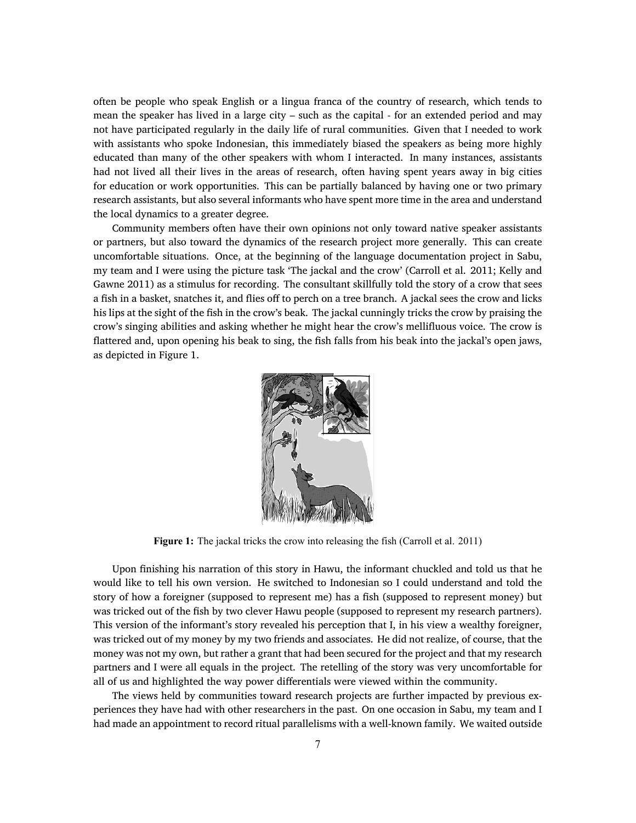often be people who speak English or a lingua franca of the country of research, which tends to mean the speaker has lived in a large city – such as the capital - for an extended period and may not have participated regularly in the daily life of rural communities. Given that I needed to work with assistants who spoke Indonesian, this immediately biased the speakers as being more highly educated than many of the other speakers with whom I interacted. In many instances, assistants had not lived all their lives in the areas of research, often having spent years away in big cities for education or work opportunities. This can be partially balanced by having one or two primary research assistants, but also several informants who have spent more time in the area and understand the local dynamics to a greater degree.

Community members often have their own opinions not only toward native speaker assistants or partners, but also toward the dynamics of the research project more generally. This can create uncomfortable situations. Once, at the beginning of the language documentation project in Sabu, my team and I were using the picture task 'The jackal and the crow' (Carroll et al. 2011; Kelly and Gawne 2011) as a stimulus for recording. The consultant skillfully told the story of a crow that sees a fish in a basket, snatches it, and flies off to perch on a tree branch. A jackal sees the crow and licks his lips at the sight of the fish in the crow's beak. The jackal cunningly tricks the crow by praising the crow's singing abilities and asking whether he might hear the crow's mellifluous voice. The crow is flattered and, upon opening his beak to sing, the fish falls from his beak into the jackal's open jaws, as depicted in Figure [1](#page-6-0).

<span id="page-6-0"></span>

**Figure 1:** The jackal tricks the crow into releasing the fish (Carroll et al. 2011)

Upon finishing his narration of this story in Hawu, the informant chuckled and told us that he would like to tell his own version. He switched to Indonesian so I could understand and told the story of how a foreigner (supposed to represent me) has a fish (supposed to represent money) but was tricked out of the fish by two clever Hawu people (supposed to represent my research partners). This version of the informant's story revealed his perception that I, in his view a wealthy foreigner, was tricked out of my money by my two friends and associates. He did not realize, of course, that the money was not my own, but rather a grant that had been secured for the project and that my research partners and I were all equals in the project. The retelling of the story was very uncomfortable for all of us and highlighted the way power differentials were viewed within the community.

The views held by communities toward research projects are further impacted by previous experiences they have had with other researchers in the past. On one occasion in Sabu, my team and I had made an appointment to record ritual parallelisms with a well-known family. We waited outside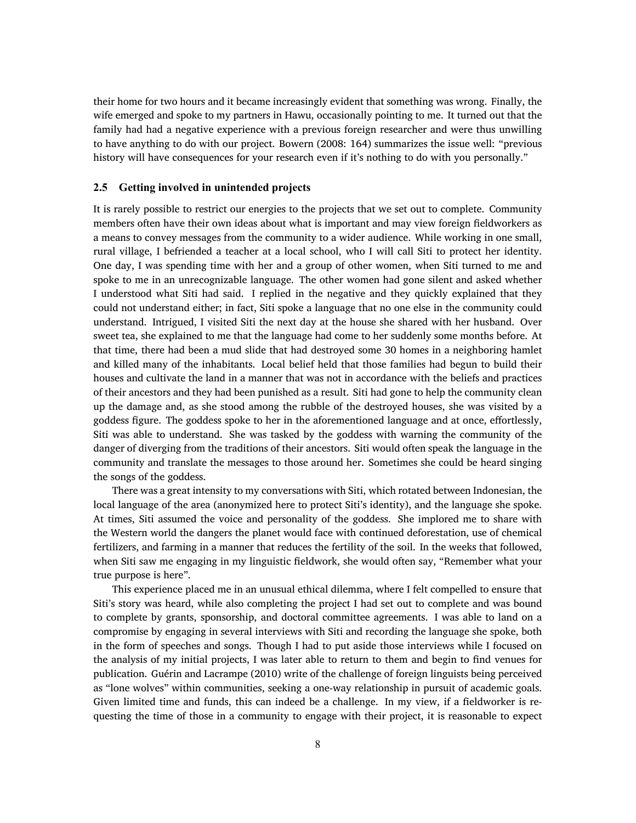their home for two hours and it became increasingly evident that something was wrong. Finally, the wife emerged and spoke to my partners in Hawu, occasionally pointing to me. It turned out that the family had had a negative experience with a previous foreign researcher and were thus unwilling to have anything to do with our project. Bowern (2008: 164) summarizes the issue well: "previous history will have consequences for your research even if it's nothing to do with you personally."

#### **2.5 Getting involved in unintended projects**

It is rarely possible to restrict our energies to the projects that we set out to complete. Community members often have their own ideas about what is important and may view foreign fieldworkers as a means to convey messages from the community to a wider audience. While working in one small, rural village, I befriended a teacher at a local school, who I will call Siti to protect her identity. One day, I was spending time with her and a group of other women, when Siti turned to me and spoke to me in an unrecognizable language. The other women had gone silent and asked whether I understood what Siti had said. I replied in the negative and they quickly explained that they could not understand either; in fact, Siti spoke a language that no one else in the community could understand. Intrigued, I visited Siti the next day at the house she shared with her husband. Over sweet tea, she explained to me that the language had come to her suddenly some months before. At that time, there had been a mud slide that had destroyed some 30 homes in a neighboring hamlet and killed many of the inhabitants. Local belief held that those families had begun to build their houses and cultivate the land in a manner that was not in accordance with the beliefs and practices of their ancestors and they had been punished as a result. Siti had gone to help the community clean up the damage and, as she stood among the rubble of the destroyed houses, she was visited by a goddess figure. The goddess spoke to her in the aforementioned language and at once, effortlessly, Siti was able to understand. She was tasked by the goddess with warning the community of the danger of diverging from the traditions of their ancestors. Siti would often speak the language in the community and translate the messages to those around her. Sometimes she could be heard singing the songs of the goddess.

There was a great intensity to my conversations with Siti, which rotated between Indonesian, the local language of the area (anonymized here to protect Siti's identity), and the language she spoke. At times, Siti assumed the voice and personality of the goddess. She implored me to share with the Western world the dangers the planet would face with continued deforestation, use of chemical fertilizers, and farming in a manner that reduces the fertility of the soil. In the weeks that followed, when Siti saw me engaging in my linguistic fieldwork, she would often say, "Remember what your true purpose is here".

This experience placed me in an unusual ethical dilemma, where I felt compelled to ensure that Siti's story was heard, while also completing the project I had set out to complete and was bound to complete by grants, sponsorship, and doctoral committee agreements. I was able to land on a compromise by engaging in several interviews with Siti and recording the language she spoke, both in the form of speeches and songs. Though I had to put aside those interviews while I focused on the analysis of my initial projects, I was later able to return to them and begin to find venues for publication. Guérin and Lacrampe (2010) write of the challenge of foreign linguists being perceived as "lone wolves" within communities, seeking a one-way relationship in pursuit of academic goals. Given limited time and funds, this can indeed be a challenge. In my view, if a fieldworker is requesting the time of those in a community to engage with their project, it is reasonable to expect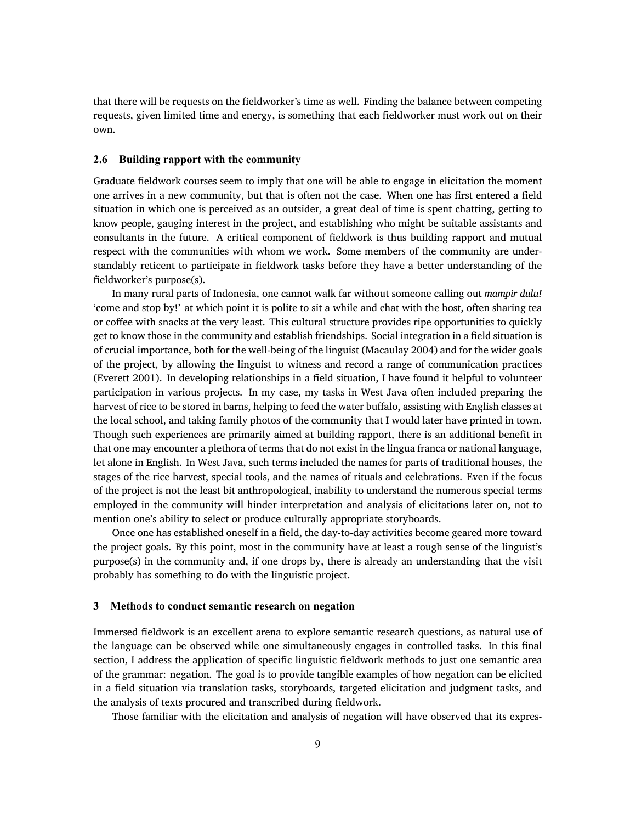that there will be requests on the fieldworker's time as well. Finding the balance between competing requests, given limited time and energy, is something that each fieldworker must work out on their own.

### **2.6 Building rapport with the community**

Graduate fieldwork courses seem to imply that one will be able to engage in elicitation the moment one arrives in a new community, but that is often not the case. When one has first entered a field situation in which one is perceived as an outsider, a great deal of time is spent chatting, getting to know people, gauging interest in the project, and establishing who might be suitable assistants and consultants in the future. A critical component of fieldwork is thus building rapport and mutual respect with the communities with whom we work. Some members of the community are understandably reticent to participate in fieldwork tasks before they have a better understanding of the fieldworker's purpose(s).

In many rural parts of Indonesia, one cannot walk far without someone calling out *mampir dulu!* 'come and stop by!' at which point it is polite to sit a while and chat with the host, often sharing tea or coffee with snacks at the very least. This cultural structure provides ripe opportunities to quickly get to know those in the community and establish friendships. Social integration in a field situation is of crucial importance, both for the well-being of the linguist (Macaulay 2004) and for the wider goals of the project, by allowing the linguist to witness and record a range of communication practices (Everett 2001). In developing relationships in a field situation, I have found it helpful to volunteer participation in various projects. In my case, my tasks in West Java often included preparing the harvest of rice to be stored in barns, helping to feed the water buffalo, assisting with English classes at the local school, and taking family photos of the community that I would later have printed in town. Though such experiences are primarily aimed at building rapport, there is an additional benefit in that one may encounter a plethora of terms that do not exist in the lingua franca or national language, let alone in English. In West Java, such terms included the names for parts of traditional houses, the stages of the rice harvest, special tools, and the names of rituals and celebrations. Even if the focus of the project is not the least bit anthropological, inability to understand the numerous special terms employed in the community will hinder interpretation and analysis of elicitations later on, not to mention one's ability to select or produce culturally appropriate storyboards.

Once one has established oneself in a field, the day-to-day activities become geared more toward the project goals. By this point, most in the community have at least a rough sense of the linguist's purpose(s) in the community and, if one drops by, there is already an understanding that the visit probably has something to do with the linguistic project.

## **3 Methods to conduct semantic research on negation**

Immersed fieldwork is an excellent arena to explore semantic research questions, as natural use of the language can be observed while one simultaneously engages in controlled tasks. In this final section, I address the application of specific linguistic fieldwork methods to just one semantic area of the grammar: negation. The goal is to provide tangible examples of how negation can be elicited in a field situation via translation tasks, storyboards, targeted elicitation and judgment tasks, and the analysis of texts procured and transcribed during fieldwork.

Those familiar with the elicitation and analysis of negation will have observed that its expres-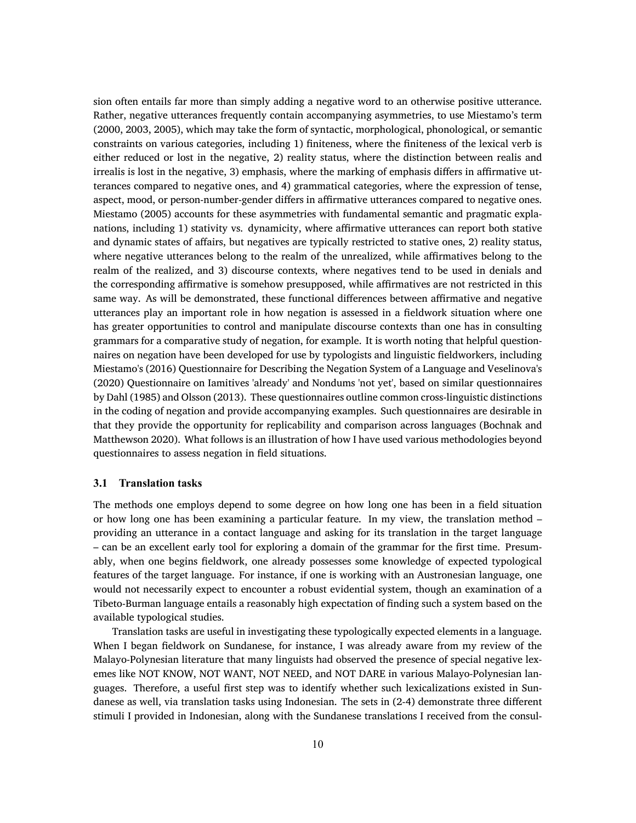sion often entails far more than simply adding a negative word to an otherwise positive utterance. Rather, negative utterances frequently contain accompanying asymmetries, to use Miestamo's term (2000, 2003, 2005), which may take the form of syntactic, morphological, phonological, or semantic constraints on various categories, including 1) finiteness, where the finiteness of the lexical verb is either reduced or lost in the negative, 2) reality status, where the distinction between realis and irrealis is lost in the negative, 3) emphasis, where the marking of emphasis differs in affirmative utterances compared to negative ones, and 4) grammatical categories, where the expression of tense, aspect, mood, or person-number-gender differs in affirmative utterances compared to negative ones. Miestamo (2005) accounts for these asymmetries with fundamental semantic and pragmatic explanations, including 1) stativity vs. dynamicity, where affirmative utterances can report both stative and dynamic states of affairs, but negatives are typically restricted to stative ones, 2) reality status, where negative utterances belong to the realm of the unrealized, while affirmatives belong to the realm of the realized, and 3) discourse contexts, where negatives tend to be used in denials and the corresponding affirmative is somehow presupposed, while affirmatives are not restricted in this same way. As will be demonstrated, these functional differences between affirmative and negative utterances play an important role in how negation is assessed in a fieldwork situation where one has greater opportunities to control and manipulate discourse contexts than one has in consulting grammars for a comparative study of negation, for example. It is worth noting that helpful questionnaires on negation have been developed for use by typologists and linguistic fieldworkers, including Miestamo's (2016) Questionnaire for Describing the Negation System of a Language and Veselinova's (2020) Questionnaire on Iamitives 'already' and Nondums 'not yet', based on similar questionnaires by Dahl (1985) and Olsson (2013). These questionnaires outline common cross-linguistic distinctions in the coding of negation and provide accompanying examples. Such questionnaires are desirable in that they provide the opportunity for replicability and comparison across languages (Bochnak and Matthewson 2020). What follows is an illustration of how I have used various methodologies beyond questionnaires to assess negation in field situations.

#### <span id="page-9-0"></span>**3.1 Translation tasks**

The methods one employs depend to some degree on how long one has been in a field situation or how long one has been examining a particular feature. In my view, the translation method – providing an utterance in a contact language and asking for its translation in the target language – can be an excellent early tool for exploring a domain of the grammar for the first time. Presumably, when one begins fieldwork, one already possesses some knowledge of expected typological features of the target language. For instance, if one is working with an Austronesian language, one would not necessarily expect to encounter a robust evidential system, though an examination of a Tibeto-Burman language entails a reasonably high expectation of finding such a system based on the available typological studies.

Translation tasks are useful in investigating these typologically expected elements in a language. When I began fieldwork on Sundanese, for instance, I was already aware from my review of the Malayo-Polynesian literature that many linguists had observed the presence of special negative lexemes like NOT KNOW, NOT WANT, NOT NEED, and NOT DARE in various Malayo-Polynesian languages. Therefore, a useful first step was to identify whether such lexicalizations existed in Sundanese as well, via translation tasks using Indonesian. The sets in([2](#page-9-0)-[4](#page-9-0)) demonstrate three different stimuli I provided in Indonesian, along with the Sundanese translations I received from the consul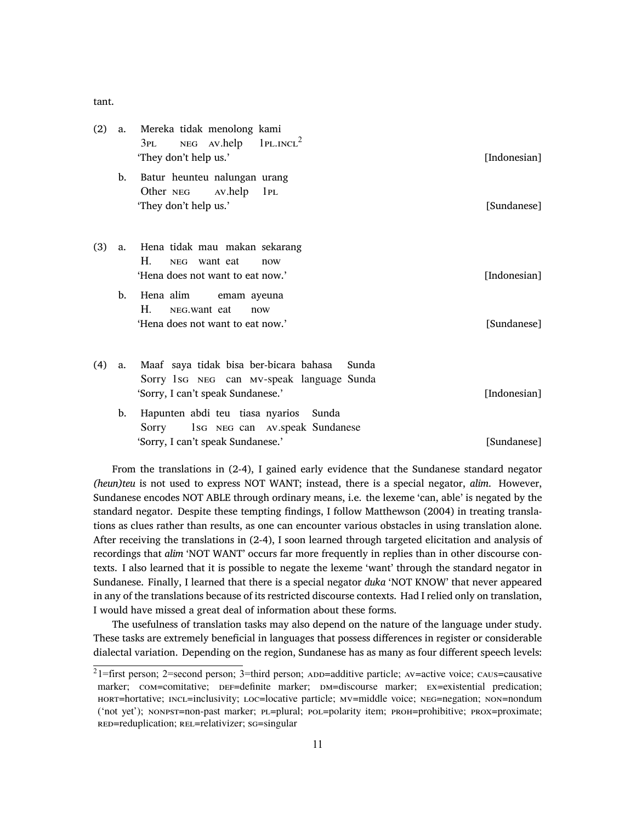tant.

| (2) | a.             | Mereka tidak menolong kami<br>$NEG$ AV.help $1PL.INCL2$<br>3PL<br>'They don't help us.'                                           | [Indonesian] |  |
|-----|----------------|-----------------------------------------------------------------------------------------------------------------------------------|--------------|--|
|     | b.             | Batur heunteu nalungan urang<br>Other NEG<br>Av.help<br>1PL<br>'They don't help us.'                                              | [Sundanese]  |  |
| (3) |                | a. Hena tidak mau makan sekarang<br>Н.<br>NEG want eat<br>now<br>'Hena does not want to eat now.'                                 | [Indonesian] |  |
|     | $\mathbf{b}$ . | Hena alim<br>emam ayeuna<br>$H_{\cdot}$<br>NEG. want eat<br>now<br>'Hena does not want to eat now.'                               | [Sundanese]  |  |
| (4) | a.             | Maaf saya tidak bisa ber-bicara bahasa<br>Sunda<br>Sorry 1sG NEG can MV-speak language Sunda<br>'Sorry, I can't speak Sundanese.' | [Indonesian] |  |
|     | b.             | Hapunten abdi teu tiasa nyarios Sunda<br>1sG NEG can AV.speak Sundanese<br>Sorry<br>'Sorry, I can't speak Sundanese.'             | [Sundanese]  |  |

From the translations in([2-4](#page-9-0)), I gained early evidence that the Sundanese standard negator *(heun)teu* is not used to express NOT WANT; instead, there is a special negator, *alim*. However, Sundanese encodes NOT ABLE through ordinary means, i.e. the lexeme 'can, able' is negated by the standard negator. Despite these tempting findings, I follow Matthewson (2004) in treating translations as clues rather than results, as one can encounter various obstacles in using translation alone. After receiving the translations in [\(2-4](#page-9-0)), I soon learned through targeted elicitation and analysis of recordings that *alim* 'NOT WANT' occurs far more frequently in replies than in other discourse contexts. I also learned that it is possible to negate the lexeme 'want' through the standard negator in Sundanese. Finally, I learned that there is a special negator *duka* 'NOT KNOW' that never appeared in any of the translations because of its restricted discourse contexts. Had I relied only on translation, I would have missed a great deal of information about these forms.

The usefulness of translation tasks may also depend on the nature of the language under study. These tasks are extremely beneficial in languages that possess differences in register or considerable dialectal variation. Depending on the region, Sundanese has as many as four different speech levels:

<sup>2</sup>1=first person; 2=second person; 3=third person; ADD=additive particle; AV=active voice; CAUS=causative marker;  $com=continite$ ; DEF=definite marker; DM=discourse marker; EX=existential predication; HORT=hortative; INCL=inclusivity; LOC=locative particle; MV=middle voice; NEG=negation; NON=nondum ('not yet'); NONPST=non-past marker; PL=plural; POL=polarity item; PROH=prohibitive; PROX=proximate; RED=reduplication; REL=relativizer; SG=singular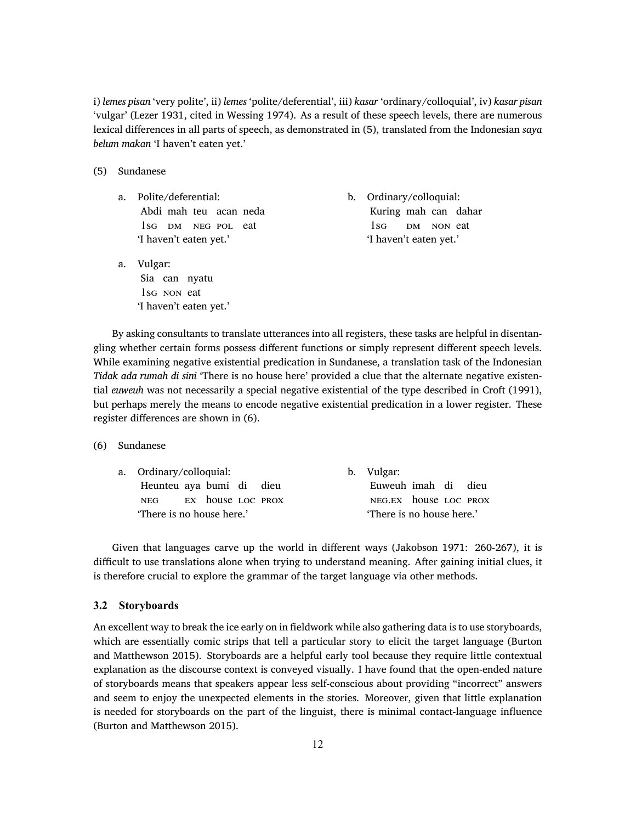i) *lemes pisan* 'very polite', ii) *lemes* 'polite/deferential', iii) *kasar* 'ordinary/colloquial', iv) *kasar pisan* 'vulgar' (Lezer 1931, cited in Wessing 1974). As a result of these speech levels, there are numerous lexical differences in all parts of speech, as demonstrated in [\(5\)](#page-9-0), translated from the Indonesian *saya belum makan* 'I haven't eaten yet.'

- (5) Sundanese
	- a. Polite/deferential: Abdi mah teu acan neda 1SG DM NEG POL eat 'I haven't eaten yet.'
	- a. Vulgar: Sia can nyatu 1SG NON eat 'I haven't eaten yet.'

b. Ordinary/colloquial: Kuring mah can dahar  $1$ SG DM NON eat 'I haven't eaten yet.'

By asking consultants to translate utterances into all registers, these tasks are helpful in disentangling whether certain forms possess different functions or simply represent different speech levels. While examining negative existential predication in Sundanese, a translation task of the Indonesian *Tidak ada rumah di sini* 'There is no house here' provided a clue that the alternate negative existential *euweuh* was not necessarily a special negative existential of the type described in Croft (1991), but perhaps merely the means to encode negative existential predication in a lower register. These register differences are shown in [\(6\)](#page-9-0).

(6) Sundanese

|                           | a. Ordinary/colloquial:  |  |  |  |  |  | b. Vulgar:                |  |  |  |
|---------------------------|--------------------------|--|--|--|--|--|---------------------------|--|--|--|
|                           | Heunteu aya bumi di dieu |  |  |  |  |  | Euweuh imah di dieu       |  |  |  |
|                           | NEG EX house LOC PROX    |  |  |  |  |  | NEG.EX house LOC PROX     |  |  |  |
| 'There is no house here.' |                          |  |  |  |  |  | 'There is no house here.' |  |  |  |

Given that languages carve up the world in different ways (Jakobson 1971: 260-267), it is difficult to use translations alone when trying to understand meaning. After gaining initial clues, it is therefore crucial to explore the grammar of the target language via other methods.

## <span id="page-11-0"></span>**3.2 Storyboards**

An excellent way to break the ice early on in fieldwork while also gathering data is to use storyboards, which are essentially comic strips that tell a particular story to elicit the target language (Burton and Matthewson 2015). Storyboards are a helpful early tool because they require little contextual explanation as the discourse context is conveyed visually. I have found that the open-ended nature of storyboards means that speakers appear less self-conscious about providing "incorrect" answers and seem to enjoy the unexpected elements in the stories. Moreover, given that little explanation is needed for storyboards on the part of the linguist, there is minimal contact-language influence (Burton and Matthewson 2015).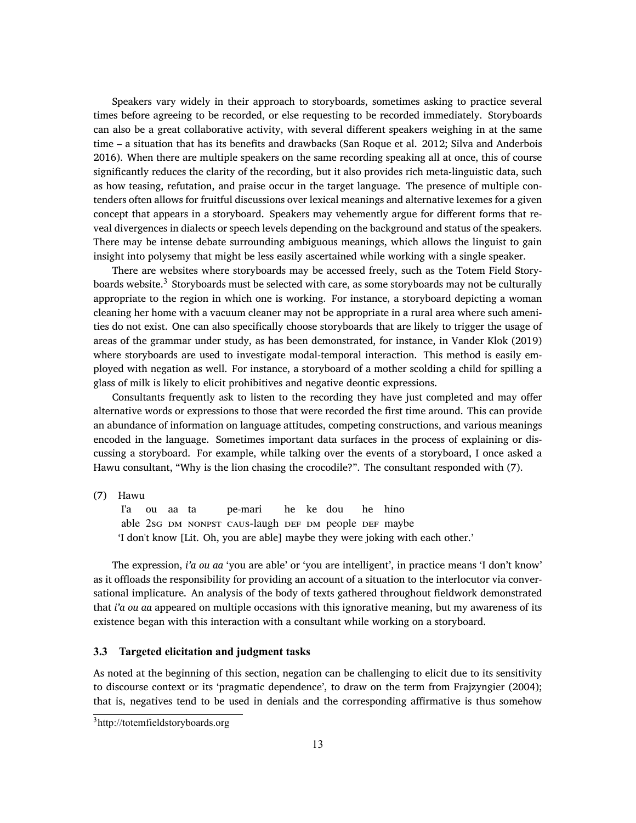Speakers vary widely in their approach to storyboards, sometimes asking to practice several times before agreeing to be recorded, or else requesting to be recorded immediately. Storyboards can also be a great collaborative activity, with several different speakers weighing in at the same time – a situation that has its benefits and drawbacks (San Roque et al. 2012; Silva and Anderbois 2016). When there are multiple speakers on the same recording speaking all at once, this of course significantly reduces the clarity of the recording, but it also provides rich meta-linguistic data, such as how teasing, refutation, and praise occur in the target language. The presence of multiple contenders often allows for fruitful discussions over lexical meanings and alternative lexemes for a given concept that appears in a storyboard. Speakers may vehemently argue for different forms that reveal divergences in dialects or speech levels depending on the background and status of the speakers. There may be intense debate surrounding ambiguous meanings, which allows the linguist to gain insight into polysemy that might be less easily ascertained while working with a single speaker.

There are websites where storyboards may be accessed freely, such as the Totem Field Storyboards website. $^3$  Storyboards must be selected with care, as some storyboards may not be culturally appropriate to the region in which one is working. For instance, a storyboard depicting a woman cleaning her home with a vacuum cleaner may not be appropriate in a rural area where such amenities do not exist. One can also specifically choose storyboards that are likely to trigger the usage of areas of the grammar under study, as has been demonstrated, for instance, in Vander Klok (2019) where storyboards are used to investigate modal-temporal interaction. This method is easily employed with negation as well. For instance, a storyboard of a mother scolding a child for spilling a glass of milk is likely to elicit prohibitives and negative deontic expressions.

Consultants frequently ask to listen to the recording they have just completed and may offer alternative words or expressions to those that were recorded the first time around. This can provide an abundance of information on language attitudes, competing constructions, and various meanings encoded in the language. Sometimes important data surfaces in the process of explaining or discussing a storyboard. For example, while talking over the events of a storyboard, I once asked a Hawu consultant, "Why is the lion chasing the crocodile?". The consultant responded with([7](#page-11-0)).

(7) Hawu

I'a able 2SG DM NONPST CAUS-laugh DEF DM people DEF maybe ou aa ta pe-mari he ke dou he hino 'I don't know [Lit. Oh, you are able] maybe they were joking with each other.'

The expression, *i'a ou aa* 'you are able' or 'you are intelligent', in practice means 'I don't know' as it offloads the responsibility for providing an account of a situation to the interlocutor via conversational implicature. An analysis of the body of texts gathered throughout fieldwork demonstrated that *i'a ou aa* appeared on multiple occasions with this ignorative meaning, but my awareness of its existence began with this interaction with a consultant while working on a storyboard.

## <span id="page-12-0"></span>**3.3 Targeted elicitation and judgment tasks**

As noted at the beginning of this section, negation can be challenging to elicit due to its sensitivity to discourse context or its 'pragmatic dependence', to draw on the term from Frajzyngier (2004); that is, negatives tend to be used in denials and the corresponding affirmative is thus somehow

<sup>3</sup><http://totemfieldstoryboards.org>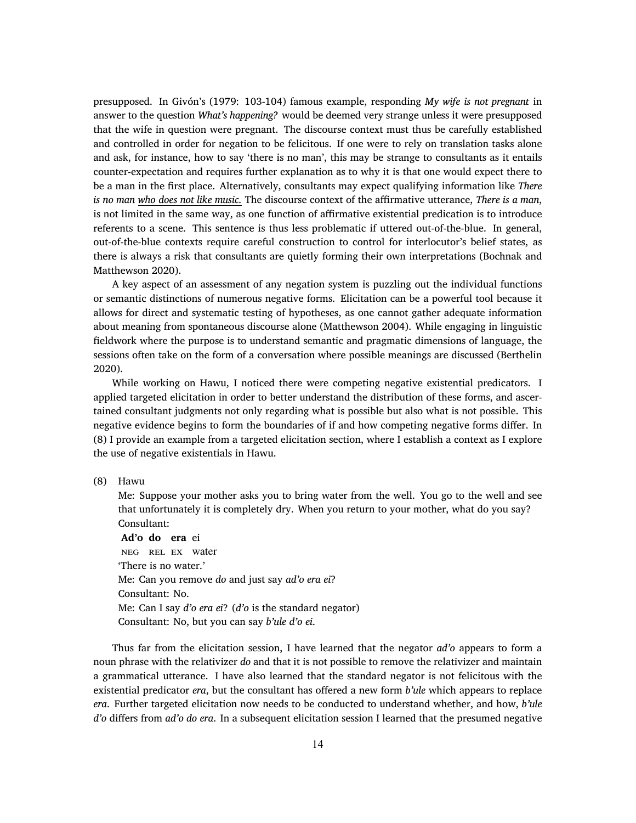presupposed. In Givón's (1979: 103-104) famous example, responding *My wife is not pregnant* in answer to the question *What's happening?* would be deemed very strange unless it were presupposed that the wife in question were pregnant. The discourse context must thus be carefully established and controlled in order for negation to be felicitous. If one were to rely on translation tasks alone and ask, for instance, how to say 'there is no man', this may be strange to consultants as it entails counter-expectation and requires further explanation as to why it is that one would expect there to be a man in the first place. Alternatively, consultants may expect qualifying information like *There is no man who does not like music.* The discourse context of the affirmative utterance, *There is a man*, is not limited in the same way, as one function of affirmative existential predication is to introduce referents to a scene. This sentence is thus less problematic if uttered out-of-the-blue. In general, out-of-the-blue contexts require careful construction to control for interlocutor's belief states, as there is always a risk that consultants are quietly forming their own interpretations (Bochnak and Matthewson 2020).

A key aspect of an assessment of any negation system is puzzling out the individual functions or semantic distinctions of numerous negative forms. Elicitation can be a powerful tool because it allows for direct and systematic testing of hypotheses, as one cannot gather adequate information about meaning from spontaneous discourse alone (Matthewson 2004). While engaging in linguistic fieldwork where the purpose is to understand semantic and pragmatic dimensions of language, the sessions often take on the form of a conversation where possible meanings are discussed (Berthelin 2020).

While working on Hawu, I noticed there were competing negative existential predicators. I applied targeted elicitation in order to better understand the distribution of these forms, and ascertained consultant judgments not only regarding what is possible but also what is not possible. This negative evidence begins to form the boundaries of if and how competing negative forms differ. In ([8](#page-12-0)) I provide an example from a targeted elicitation section, where I establish a context as I explore the use of negative existentials in Hawu.

(8) Hawu

Me: Suppose your mother asks you to bring water from the well. You go to the well and see that unfortunately it is completely dry. When you return to your mother, what do you say? Consultant:

**Ad'o do era** ei NEG REL EX water 'There is no water.' Me: Can you remove *do* and just say *ad'o era ei*? Consultant: No. Me: Can I say *d'o era ei*? (*d'o* is the standard negator) Consultant: No, but you can say *b'ule d'o ei*.

Thus far from the elicitation session, I have learned that the negator *ad'o* appears to form a noun phrase with the relativizer *do* and that it is not possible to remove the relativizer and maintain a grammatical utterance. I have also learned that the standard negator is not felicitous with the existential predicator *era*, but the consultant has offered a new form *b'ule* which appears to replace *era*. Further targeted elicitation now needs to be conducted to understand whether, and how, *b'ule d'o* differs from *ad'o do era*. In a subsequent elicitation session I learned that the presumed negative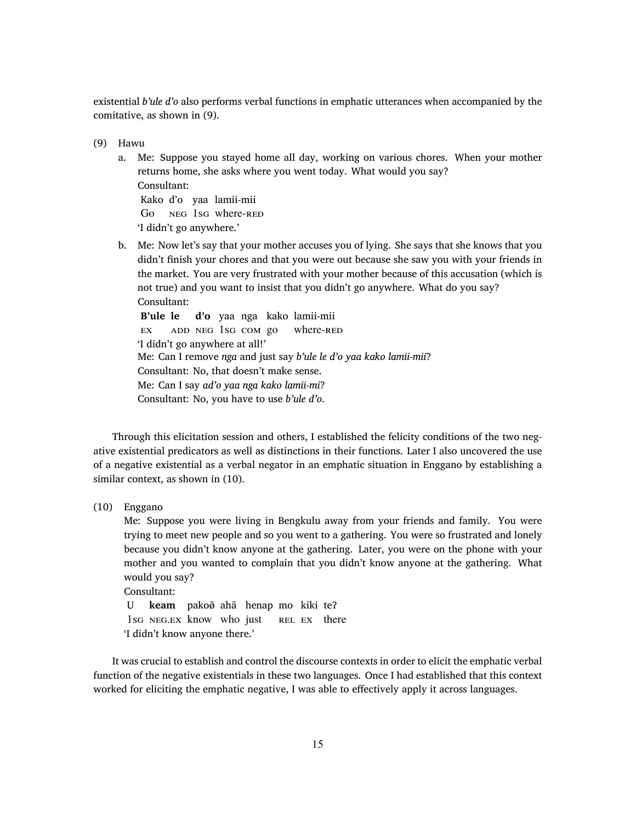existential *b'ule d'o* also performs verbal functions in emphatic utterances when accompanied by the comitative, as shown in [\(9\)](#page-12-0).

(9) Hawu

a. Me: Suppose you stayed home all day, working on various chores. When your mother returns home, she asks where you went today. What would you say? Consultant: Kako d'o yaa lamii-mii

Go NEG 1sG where-RED 'I didn't go anywhere.'

b. Me: Now let's say that your mother accuses you of lying. She says that she knows that you didn't finish your chores and that you were out because she saw you with your friends in the market. You are very frustrated with your mother because of this accusation (which is not true) and you want to insist that you didn't go anywhere. What do you say? Consultant:

**B'ule le d'o** yaa nga kako lamii-mii EX ADD NEG 1SG COM go where-RED 'I didn't go anywhere at all!' Me: Can I remove *nga* and just say *b'ule le d'o yaa kako lamii-mii*? Consultant: No, that doesn't make sense. Me: Can I say *ad'o yaa nga kako lamii-mi*? Consultant: No, you have to use *b'ule d'o*.

Through this elicitation session and others, I established the felicity conditions of the two negative existential predicators as well as distinctions in their functions. Later I also uncovered the use of a negative existential as a verbal negator in an emphatic situation in Enggano by establishing a similar context, as shown in [\(10](#page-12-0)).

(10) Enggano

Me: Suppose you were living in Bengkulu away from your friends and family. You were trying to meet new people and so you went to a gathering. You were so frustrated and lonely because you didn't know anyone at the gathering. Later, you were on the phone with your mother and you wanted to complain that you didn't know anyone at the gathering. What would you say?

Consultant:

U **keam** pakoø̃ ahã henap mo kiki te? 1sg NEG.EX know who just REL EX there 'I didn't know anyone there.'

It was crucial to establish and control the discourse contexts in order to elicit the emphatic verbal function of the negative existentials in these two languages. Once I had established that this context worked for eliciting the emphatic negative, I was able to effectively apply it across languages.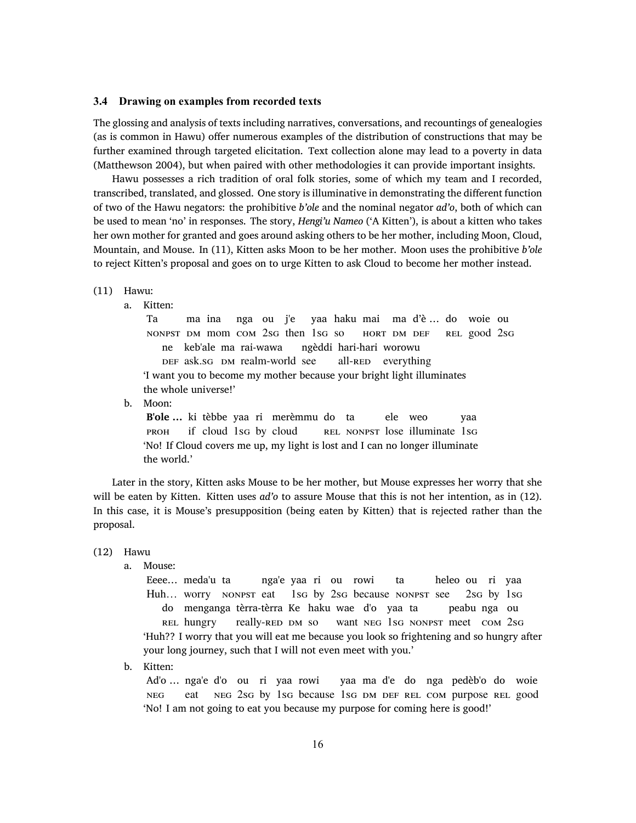## <span id="page-15-0"></span>**3.4 Drawing on examples from recorded texts**

The glossing and analysis of texts including narratives, conversations, and recountings of genealogies (as is common in Hawu) offer numerous examples of the distribution of constructions that may be further examined through targeted elicitation. Text collection alone may lead to a poverty in data (Matthewson 2004), but when paired with other methodologies it can provide important insights.

Hawu possesses a rich tradition of oral folk stories, some of which my team and I recorded, transcribed, translated, and glossed. One story is illuminative in demonstrating the different function of two of the Hawu negators: the prohibitive *b'ole* and the nominal negator *ad'o*, both of which can be used to mean 'no' in responses. The story, *Hengi'u Nameo* ('A Kitten'), is about a kitten who takes her own mother for granted and goes around asking others to be her mother, including Moon, Cloud, Mountain, and Mouse. In (11), Kitten asks Moon to be her mother. Moon uses the prohibitive *b'ole* to reject Kitten's proposal and goes on to urge Kitten to ask Cloud to become her mother instead.

#### (11) Hawu:

a. Kitten:

Ta NONPST DM mom COM 2sG then 1sG so ma ina nga ou j'e yaa haku mai ma d'è … do woie ou HORT DM DEF REL good 2SG ne keb'ale ma rai-wawa DEF ask.SG DM realm-world see ngèddi hari-hari worowu all-RED everything 'I want you to become my mother because your bright light illuminates the whole universe!'

b. Moon:

**B'ole ...** ki tèbbe yaa ri merèmmu do ta PROH if cloud 1sG by cloud REL NONPST lose illuminate 1SG ele weo yaa 'No! If Cloud covers me up, my light is lost and I can no longer illuminate the world.'

Later in the story, Kitten asks Mouse to be her mother, but Mouse expresses her worry that she will be eaten by Kitten. Kitten uses *ad'o* to assure Mouse that this is not her intention, as in([12\)](#page-15-0). In this case, it is Mouse's presupposition (being eaten by Kitten) that is rejected rather than the proposal.

(12) Hawu

a. Mouse:

Eeee… meda'u ta Huh... worry NONPST eat nga'e yaa ri ou rowi 1sg by 2sg because NONPST see ta heleo ou ri yaa 2sg by 1sg do menganga tèrra-tèrra Ke haku wae d'o yaa ta REL hungry really-RED DM so want NEG 1SG NONPST meet COM 2SG peabu nga ou 'Huh?? I worry that you will eat me because you look so frightening and so hungry after your long journey, such that I will not even meet with you.'

b. Kitten:

Ad'o … nga'e d'o ou ri yaa rowi NEG eat NEG 2SG by 1SG because 1SG DM DEF REL COM purpose REL good yaa ma d'e do nga pedèb'o do woie 'No! I am not going to eat you because my purpose for coming here is good!'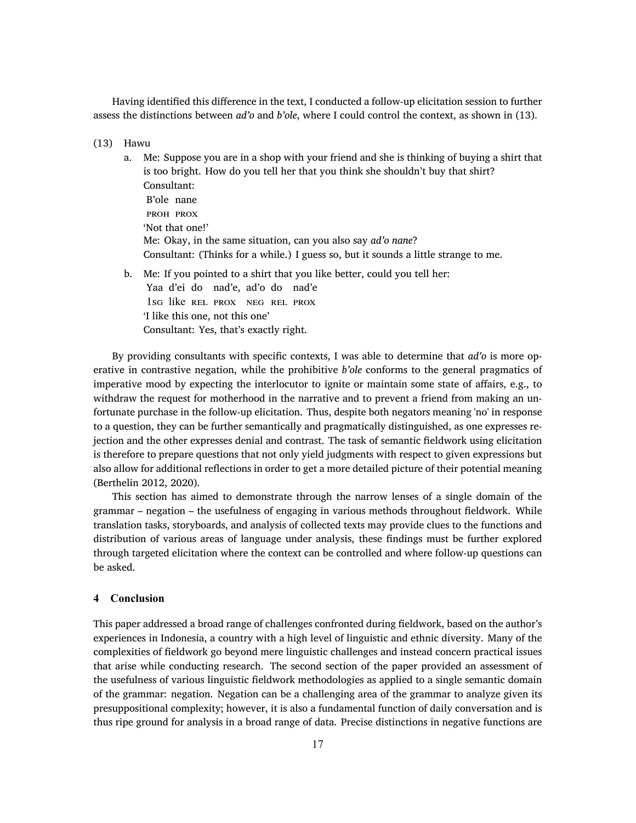Having identified this difference in the text, I conducted a follow-up elicitation session to further assess the distinctions between *ad'o* and *b'ole*, where I could control the context, as shown in [\(13](#page-15-0)).

- (13) Hawu
	- a. Me: Suppose you are in a shop with your friend and she is thinking of buying a shirt that is too bright. How do you tell her that you think she shouldn't buy that shirt? Consultant: B'ole nane PROH PROX 'Not that one!' Me: Okay, in the same situation, can you also say *ad'o nane*? Consultant: (Thinks for a while.) I guess so, but it sounds a little strange to me.
	- b. Me: If you pointed to a shirt that you like better, could you tell her:

Yaa d'ei do nad'e, ad'o do nad'e 1SG like REL PROX NEG REL PROX 'I like this one, not this one'

Consultant: Yes, that's exactly right.

By providing consultants with specific contexts, I was able to determine that *ad'o* is more operative in contrastive negation, while the prohibitive *b'ole* conforms to the general pragmatics of imperative mood by expecting the interlocutor to ignite or maintain some state of affairs, e.g., to withdraw the request for motherhood in the narrative and to prevent a friend from making an unfortunate purchase in the follow-up elicitation. Thus, despite both negators meaning 'no' in response to a question, they can be further semantically and pragmatically distinguished, as one expresses rejection and the other expresses denial and contrast. The task of semantic fieldwork using elicitation is therefore to prepare questions that not only yield judgments with respect to given expressions but also allow for additional reflections in order to get a more detailed picture of their potential meaning (Berthelin 2012, 2020).

This section has aimed to demonstrate through the narrow lenses of a single domain of the grammar – negation – the usefulness of engaging in various methods throughout fieldwork. While translation tasks, storyboards, and analysis of collected texts may provide clues to the functions and distribution of various areas of language under analysis, these findings must be further explored through targeted elicitation where the context can be controlled and where follow-up questions can be asked.

#### **4 Conclusion**

This paper addressed a broad range of challenges confronted during fieldwork, based on the author's experiences in Indonesia, a country with a high level of linguistic and ethnic diversity. Many of the complexities of fieldwork go beyond mere linguistic challenges and instead concern practical issues that arise while conducting research. The second section of the paper provided an assessment of the usefulness of various linguistic fieldwork methodologies as applied to a single semantic domain of the grammar: negation. Negation can be a challenging area of the grammar to analyze given its presuppositional complexity; however, it is also a fundamental function of daily conversation and is thus ripe ground for analysis in a broad range of data. Precise distinctions in negative functions are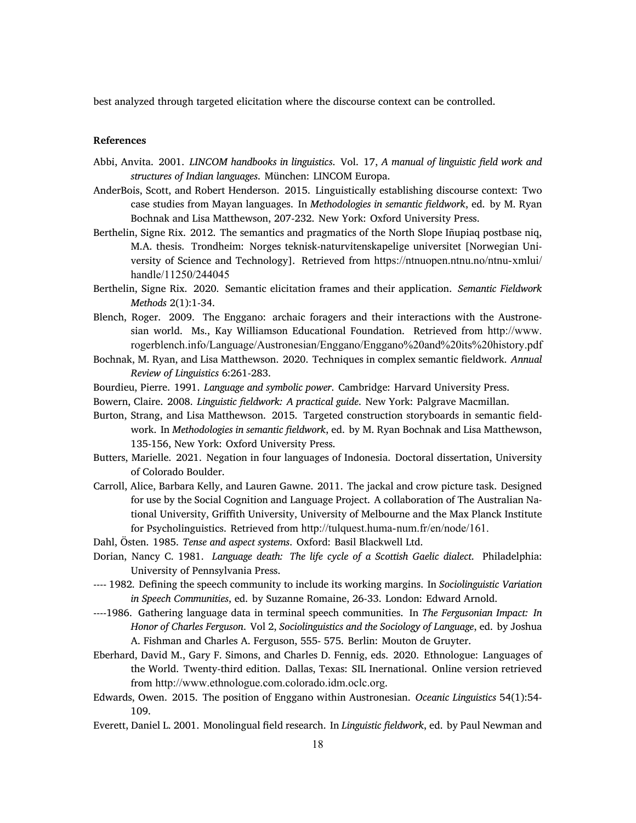best analyzed through targeted elicitation where the discourse context can be controlled.

#### **References**

- Abbi, Anvita. 2001. *LINCOM handbooks in linguistics*. Vol. 17, *A manual of linguistic field work and structures of Indian languages*. München: LINCOM Europa.
- AnderBois, Scott, and Robert Henderson. 2015. Linguistically establishing discourse context: Two case studies from Mayan languages. In *Methodologies in semantic fieldwork*, ed. by M. Ryan Bochnak and Lisa Matthewson, 207-232. New York: Oxford University Press.
- Berthelin, Signe Rix. 2012. The semantics and pragmatics of the North Slope Iñupiaq postbase niq, M.A. thesis. Trondheim: Norges teknisk-naturvitenskapelige universitet [Norwegian University of Science and Technology]. Retrieved from [https://ntnuopen.ntnu.no/ntnu-xmlui/](https://ntnuopen.ntnu.no/ntnu-xmlui/handle/11250/244045) [handle/11250/244045](https://ntnuopen.ntnu.no/ntnu-xmlui/handle/11250/244045)
- Berthelin, Signe Rix. 2020. Semantic elicitation frames and their application. *Semantic Fieldwork Methods* 2(1):1-34.
- Blench, Roger. 2009. The Enggano: archaic foragers and their interactions with the Austronesian world. Ms., Kay Williamson Educational Foundation. Retrieved from [http://www.]( http://www.rogerblench.info/Language/Austronesian/Enggano/Enggano%20and%20its%20history.pdf) [rogerblench.info/Language/Austronesian/Enggano/Enggano%20and%20its%20history.pdf]( http://www.rogerblench.info/Language/Austronesian/Enggano/Enggano%20and%20its%20history.pdf)
- Bochnak, M. Ryan, and Lisa Matthewson. 2020. Techniques in complex semantic fieldwork. *Annual Review of Linguistics* 6:261-283.
- Bourdieu, Pierre. 1991. *Language and symbolic power*. Cambridge: Harvard University Press.
- Bowern, Claire. 2008. *Linguistic fieldwork: A practical guide*. New York: Palgrave Macmillan.
- Burton, Strang, and Lisa Matthewson. 2015. Targeted construction storyboards in semantic fieldwork. In *Methodologies in semantic fieldwork*, ed. by M. Ryan Bochnak and Lisa Matthewson, 135-156, New York: Oxford University Press.
- Butters, Marielle. 2021. Negation in four languages of Indonesia. Doctoral dissertation, University of Colorado Boulder.
- Carroll, Alice, Barbara Kelly, and Lauren Gawne. 2011. The jackal and crow picture task. Designed for use by the Social Cognition and Language Project. A collaboration of The Australian National University, Griffith University, University of Melbourne and the Max Planck Institute for Psycholinguistics. Retrieved from <http://tulquest.huma-num.fr/en/node/161.>
- Dahl, Östen. 1985. *Tense and aspect systems*. Oxford: Basil Blackwell Ltd.
- Dorian, Nancy C. 1981. *Language death: The life cycle of a Scottish Gaelic dialect*. Philadelphia: University of Pennsylvania Press.
- ---- 1982. Defining the speech community to include its working margins. In *Sociolinguistic Variation in Speech Communities*, ed. by Suzanne Romaine, 26-33. London: Edward Arnold.
- ----1986. Gathering language data in terminal speech communities. In *The Fergusonian Impact: In Honor of Charles Ferguson*. Vol 2, *Sociolinguistics and the Sociology of Language*, ed. by Joshua A. Fishman and Charles A. Ferguson, 555- 575. Berlin: Mouton de Gruyter.
- Eberhard, David M., Gary F. Simons, and Charles D. Fennig, eds. 2020. Ethnologue: Languages of the World. Twenty-third edition. Dallas, Texas: SIL Inernational. Online version retrieved from <http://www.ethnologue.com.colorado.idm.oclc.org>.
- Edwards, Owen. 2015. The position of Enggano within Austronesian. *Oceanic Linguistics* 54(1):54- 109.
- Everett, Daniel L. 2001. Monolingual field research. In *Linguistic fieldwork*, ed. by Paul Newman and